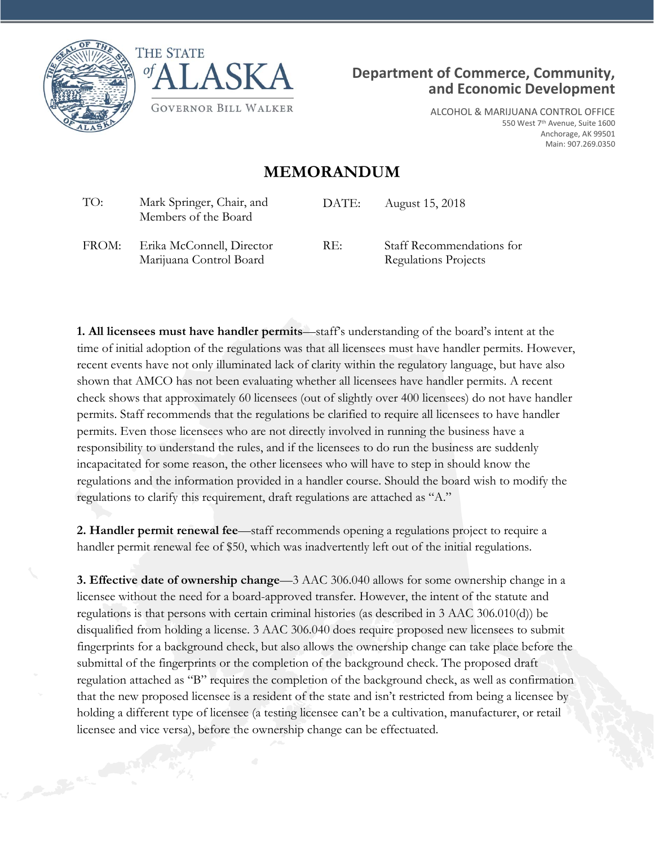





ALCOHOL & MARIJUANA CONTROL OFFICE 550 West 7<sup>th</sup> Avenue, Suite 1600 Anchorage, AK 99501 Main: 907.269.0350

## **MEMORANDUM**

| TO:   | Mark Springer, Chair, and<br>Members of the Board    | DATE: | August 15, 2018                                   |
|-------|------------------------------------------------------|-------|---------------------------------------------------|
| FROM: | Erika McConnell, Director<br>Marijuana Control Board | RE:   | Staff Recommendations for<br>Regulations Projects |

**1. All licensees must have handler permits**—staff's understanding of the board's intent at the time of initial adoption of the regulations was that all licensees must have handler permits. However, recent events have not only illuminated lack of clarity within the regulatory language, but have also shown that AMCO has not been evaluating whether all licensees have handler permits. A recent check shows that approximately 60 licensees (out of slightly over 400 licensees) do not have handler permits. Staff recommends that the regulations be clarified to require all licensees to have handler permits. Even those licensees who are not directly involved in running the business have a responsibility to understand the rules, and if the licensees to do run the business are suddenly incapacitated for some reason, the other licensees who will have to step in should know the regulations and the information provided in a handler course. Should the board wish to modify the regulations to clarify this requirement, draft regulations are attached as "A."

**2. Handler permit renewal fee**—staff recommends opening a regulations project to require a handler permit renewal fee of \$50, which was inadvertently left out of the initial regulations.

**3. Effective date of ownership change**—3 AAC 306.040 allows for some ownership change in a licensee without the need for a board-approved transfer. However, the intent of the statute and regulations is that persons with certain criminal histories (as described in 3 AAC 306.010(d)) be disqualified from holding a license. 3 AAC 306.040 does require proposed new licensees to submit fingerprints for a background check, but also allows the ownership change can take place before the submittal of the fingerprints or the completion of the background check. The proposed draft regulation attached as "B" requires the completion of the background check, as well as confirmation that the new proposed licensee is a resident of the state and isn't restricted from being a licensee by holding a different type of licensee (a testing licensee can't be a cultivation, manufacturer, or retail licensee and vice versa), before the ownership change can be effectuated.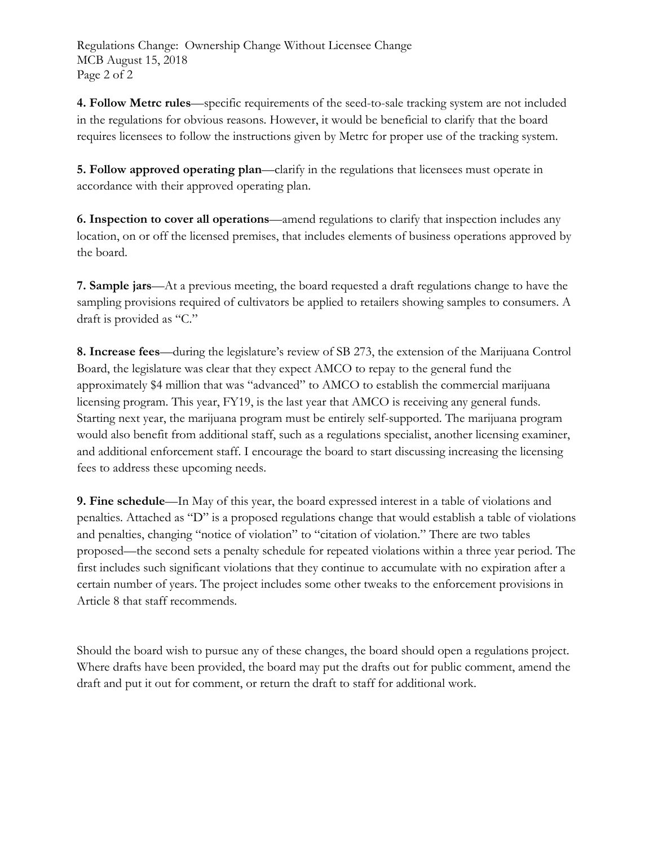Regulations Change: Ownership Change Without Licensee Change MCB August 15, 2018 Page 2 of 2

**4. Follow Metrc rules**—specific requirements of the seed-to-sale tracking system are not included in the regulations for obvious reasons. However, it would be beneficial to clarify that the board requires licensees to follow the instructions given by Metrc for proper use of the tracking system.

**5. Follow approved operating plan**—clarify in the regulations that licensees must operate in accordance with their approved operating plan.

**6. Inspection to cover all operations**—amend regulations to clarify that inspection includes any location, on or off the licensed premises, that includes elements of business operations approved by the board.

**7. Sample jars**—At a previous meeting, the board requested a draft regulations change to have the sampling provisions required of cultivators be applied to retailers showing samples to consumers. A draft is provided as "C."

**8. Increase fees**—during the legislature's review of SB 273, the extension of the Marijuana Control Board, the legislature was clear that they expect AMCO to repay to the general fund the approximately \$4 million that was "advanced" to AMCO to establish the commercial marijuana licensing program. This year, FY19, is the last year that AMCO is receiving any general funds. Starting next year, the marijuana program must be entirely self-supported. The marijuana program would also benefit from additional staff, such as a regulations specialist, another licensing examiner, and additional enforcement staff. I encourage the board to start discussing increasing the licensing fees to address these upcoming needs.

**9. Fine schedule**—In May of this year, the board expressed interest in a table of violations and penalties. Attached as "D" is a proposed regulations change that would establish a table of violations and penalties, changing "notice of violation" to "citation of violation." There are two tables proposed—the second sets a penalty schedule for repeated violations within a three year period. The first includes such significant violations that they continue to accumulate with no expiration after a certain number of years. The project includes some other tweaks to the enforcement provisions in Article 8 that staff recommends.

Should the board wish to pursue any of these changes, the board should open a regulations project. Where drafts have been provided, the board may put the drafts out for public comment, amend the draft and put it out for comment, or return the draft to staff for additional work.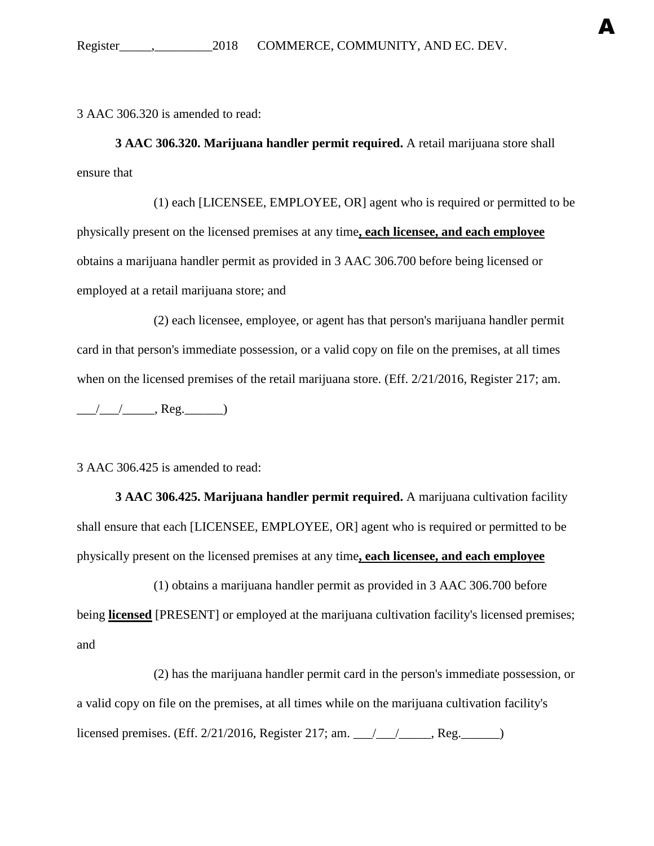3 AAC 306.320 is amended to read:

**3 AAC 306.320. Marijuana handler permit required.** A retail marijuana store shall ensure that

A

(1) each [LICENSEE, EMPLOYEE, OR] agent who is required or permitted to be physically present on the licensed premises at any time**, each licensee, and each employee** obtains a marijuana handler permit as provided in 3 AAC 306.700 before being licensed or employed at a retail marijuana store; and

(2) each licensee, employee, or agent has that person's marijuana handler permit card in that person's immediate possession, or a valid copy on file on the premises, at all times when on the licensed premises of the retail marijuana store. (Eff.  $2/21/2016$ , Register 217; am.  $\frac{1}{\sqrt{1-\frac{1}{2}}}\cos\theta$ , Reg.

3 AAC 306.425 is amended to read:

**3 AAC 306.425. Marijuana handler permit required.** A marijuana cultivation facility shall ensure that each [LICENSEE, EMPLOYEE, OR] agent who is required or permitted to be physically present on the licensed premises at any time**, each licensee, and each employee**

(1) obtains a marijuana handler permit as provided in 3 AAC 306.700 before being **licensed** [PRESENT] or employed at the marijuana cultivation facility's licensed premises; and

(2) has the marijuana handler permit card in the person's immediate possession, or a valid copy on file on the premises, at all times while on the marijuana cultivation facility's licensed premises. (Eff. 2/21/2016, Register 217; am. \_\_\_/\_\_\_/\_\_\_\_\_, Reg.\_\_\_\_\_\_)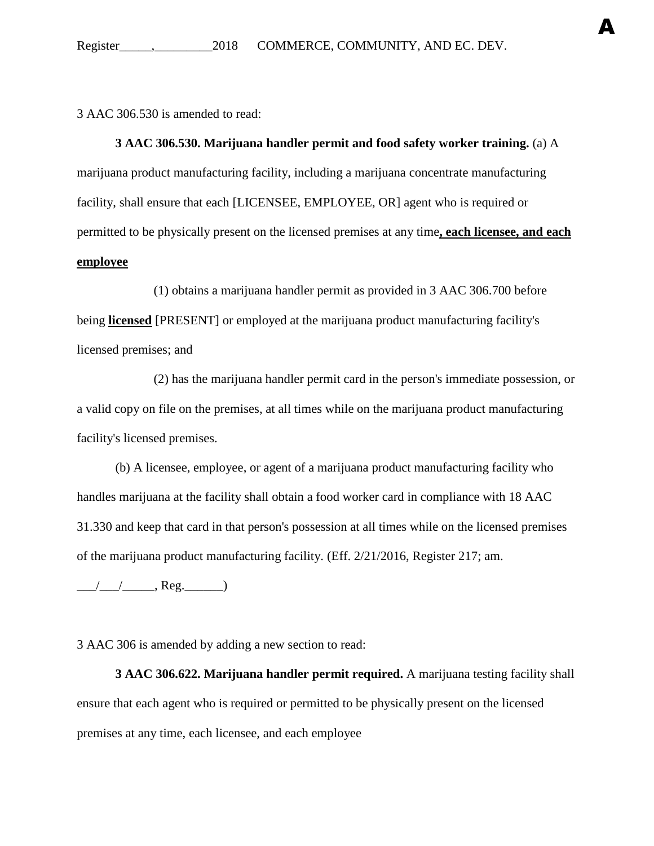A

3 AAC 306.530 is amended to read:

**3 AAC 306.530. Marijuana handler permit and food safety worker training.** (a) A marijuana product manufacturing facility, including a marijuana concentrate manufacturing facility, shall ensure that each [LICENSEE, EMPLOYEE, OR] agent who is required or permitted to be physically present on the licensed premises at any time**, each licensee, and each employee**

(1) obtains a marijuana handler permit as provided in 3 AAC 306.700 before being **licensed** [PRESENT] or employed at the marijuana product manufacturing facility's licensed premises; and

(2) has the marijuana handler permit card in the person's immediate possession, or a valid copy on file on the premises, at all times while on the marijuana product manufacturing facility's licensed premises.

(b) A licensee, employee, or agent of a marijuana product manufacturing facility who handles marijuana at the facility shall obtain a food worker card in compliance with 18 AAC 31.330 and keep that card in that person's possession at all times while on the licensed premises of the marijuana product manufacturing facility. (Eff. 2/21/2016, Register 217; am.

 $\frac{1}{\sqrt{2\pi}}$ , Reg.  $\frac{1}{\sqrt{2\pi}}$ 

3 AAC 306 is amended by adding a new section to read:

**3 AAC 306.622. Marijuana handler permit required.** A marijuana testing facility shall ensure that each agent who is required or permitted to be physically present on the licensed premises at any time, each licensee, and each employee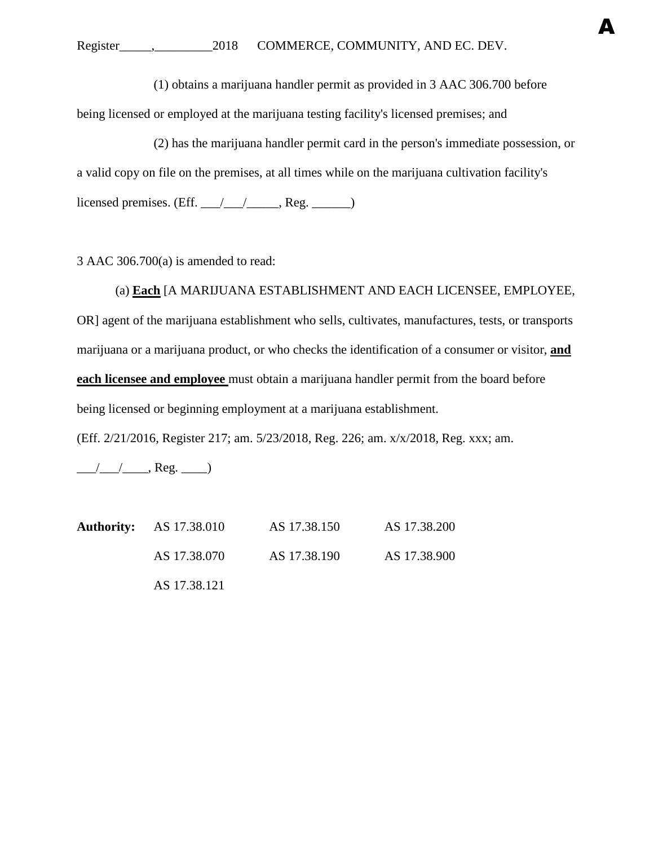(1) obtains a marijuana handler permit as provided in 3 AAC 306.700 before

A

being licensed or employed at the marijuana testing facility's licensed premises; and

(2) has the marijuana handler permit card in the person's immediate possession, or a valid copy on file on the premises, at all times while on the marijuana cultivation facility's licensed premises. (Eff.  $\angle$  / $\angle$  / $\angle$ , Reg.  $\angle$ 

3 AAC 306.700(a) is amended to read:

(a) **Each** [A MARIJUANA ESTABLISHMENT AND EACH LICENSEE, EMPLOYEE, OR] agent of the marijuana establishment who sells, cultivates, manufactures, tests, or transports marijuana or a marijuana product, or who checks the identification of a consumer or visitor, **and each licensee and employee** must obtain a marijuana handler permit from the board before being licensed or beginning employment at a marijuana establishment.

(Eff. 2/21/2016, Register 217; am. 5/23/2018, Reg. 226; am. x/x/2018, Reg. xxx; am.

 $\frac{1}{\sqrt{2\pi}}$ , Reg.  $\frac{1}{\sqrt{2\pi}}$ 

**Authority:** AS 17.38.010 AS 17.38.150 AS 17.38.200 AS 17.38.070 AS 17.38.190 AS 17.38.900 AS 17.38.121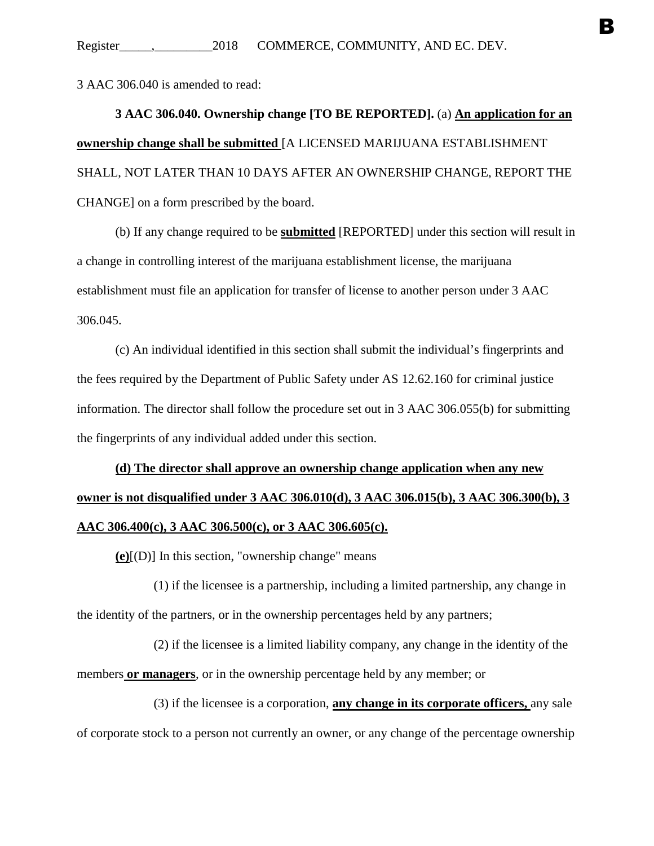3 AAC 306.040 is amended to read:

**3 AAC 306.040. Ownership change [TO BE REPORTED].** (a) **An application for an ownership change shall be submitted** [A LICENSED MARIJUANA ESTABLISHMENT SHALL, NOT LATER THAN 10 DAYS AFTER AN OWNERSHIP CHANGE, REPORT THE CHANGE] on a form prescribed by the board.

(b) If any change required to be **submitted** [REPORTED] under this section will result in a change in controlling interest of the marijuana establishment license, the marijuana establishment must file an application for transfer of license to another person under 3 AAC 306.045.

(c) An individual identified in this section shall submit the individual's fingerprints and the fees required by the Department of Public Safety under AS 12.62.160 for criminal justice information. The director shall follow the procedure set out in 3 AAC 306.055(b) for submitting the fingerprints of any individual added under this section.

# **(d) The director shall approve an ownership change application when any new owner is not disqualified under 3 AAC 306.010(d), 3 AAC 306.015(b), 3 AAC 306.300(b), 3 AAC 306.400(c), 3 AAC 306.500(c), or 3 AAC 306.605(c).**

**(e)**[(D)] In this section, "ownership change" means

(1) if the licensee is a partnership, including a limited partnership, any change in the identity of the partners, or in the ownership percentages held by any partners;

(2) if the licensee is a limited liability company, any change in the identity of the members **or managers**, or in the ownership percentage held by any member; or

(3) if the licensee is a corporation, **any change in its corporate officers,** any sale of corporate stock to a person not currently an owner, or any change of the percentage ownership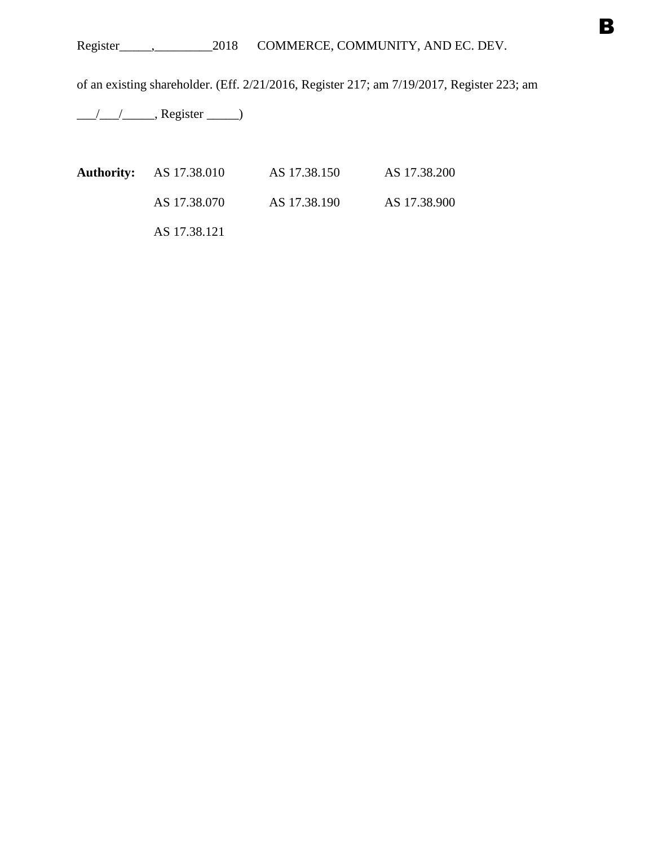of an existing shareholder. (Eff. 2/21/2016, Register 217; am 7/19/2017, Register 223; am

 $\frac{1}{2}$  Register  $\frac{1}{2}$ 

| <b>Authority:</b> AS 17.38.010 | AS 17.38.150 | AS 17.38.200 |
|--------------------------------|--------------|--------------|
| AS 17.38.070                   | AS 17.38.190 | AS 17.38.900 |
| AS 17.38.121                   |              |              |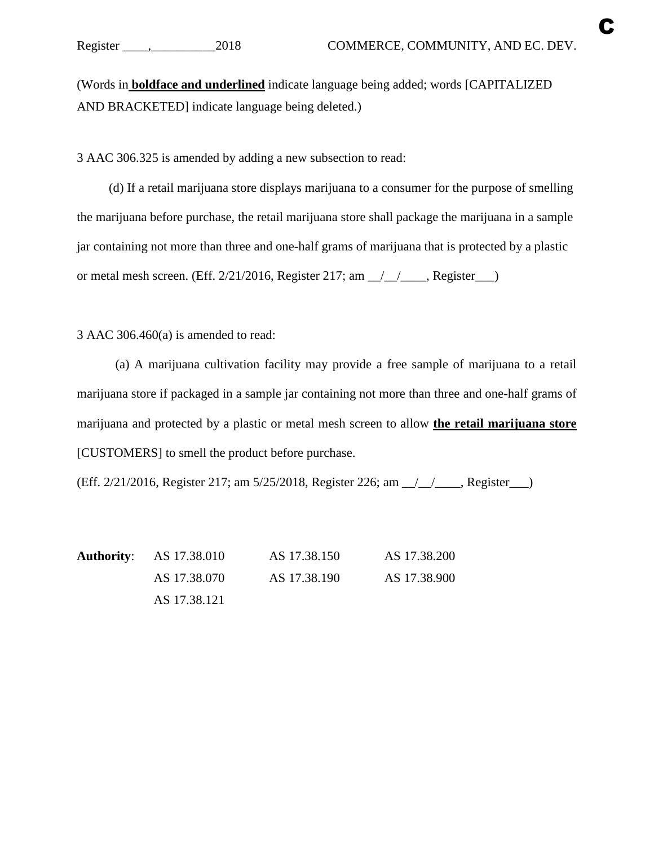(Words in **boldface and underlined** indicate language being added; words [CAPITALIZED AND BRACKETED] indicate language being deleted.)

3 AAC 306.325 is amended by adding a new subsection to read:

(d) If a retail marijuana store displays marijuana to a consumer for the purpose of smelling the marijuana before purchase, the retail marijuana store shall package the marijuana in a sample jar containing not more than three and one-half grams of marijuana that is protected by a plastic or metal mesh screen. (Eff.  $2/21/2016$ , Register 217; am  $\angle$   $\angle$   $\angle$   $\angle$  Register  $\angle$ 

3 AAC 306.460(a) is amended to read:

(a) A marijuana cultivation facility may provide a free sample of marijuana to a retail marijuana store if packaged in a sample jar containing not more than three and one-half grams of marijuana and protected by a plastic or metal mesh screen to allow **the retail marijuana store** [CUSTOMERS] to smell the product before purchase.

(Eff. 2/21/2016, Register 217; am 5/25/2018, Register 226; am \_\_/\_\_/\_\_\_\_, Register\_\_\_)

**Authority**: AS 17.38.010 AS 17.38.150 AS 17.38.200 AS 17.38.070 AS 17.38.190 AS 17.38.900 AS 17.38.121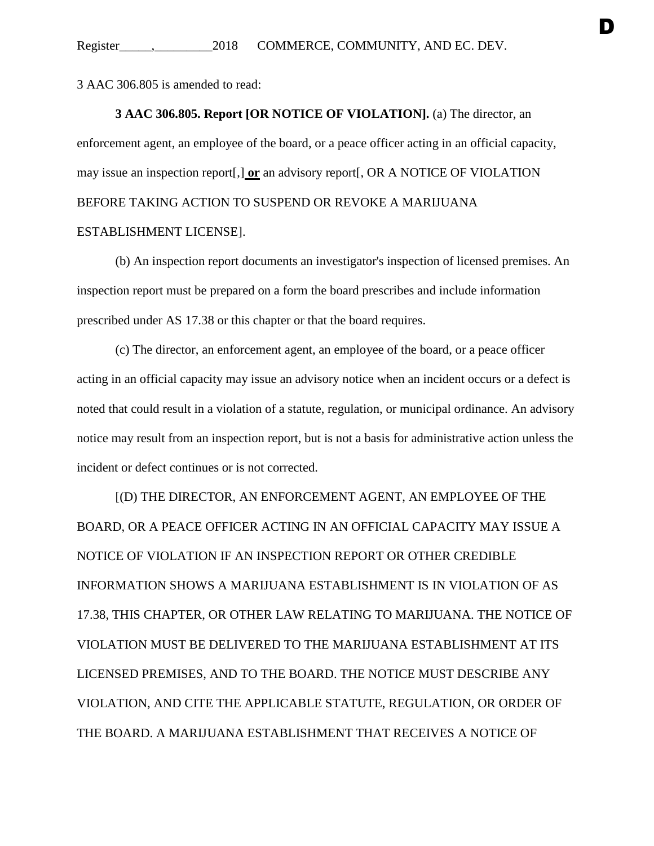3 AAC 306.805 is amended to read:

### **3 AAC 306.805. Report [OR NOTICE OF VIOLATION].** (a) The director, an

D

enforcement agent, an employee of the board, or a peace officer acting in an official capacity, may issue an inspection report[,] **or** an advisory report[, OR A NOTICE OF VIOLATION BEFORE TAKING ACTION TO SUSPEND OR REVOKE A MARIJUANA ESTABLISHMENT LICENSE].

(b) An inspection report documents an investigator's inspection of licensed premises. An inspection report must be prepared on a form the board prescribes and include information prescribed under AS 17.38 or this chapter or that the board requires.

(c) The director, an enforcement agent, an employee of the board, or a peace officer acting in an official capacity may issue an advisory notice when an incident occurs or a defect is noted that could result in a violation of a statute, regulation, or municipal ordinance. An advisory notice may result from an inspection report, but is not a basis for administrative action unless the incident or defect continues or is not corrected.

[(D) THE DIRECTOR, AN ENFORCEMENT AGENT, AN EMPLOYEE OF THE BOARD, OR A PEACE OFFICER ACTING IN AN OFFICIAL CAPACITY MAY ISSUE A NOTICE OF VIOLATION IF AN INSPECTION REPORT OR OTHER CREDIBLE INFORMATION SHOWS A MARIJUANA ESTABLISHMENT IS IN VIOLATION OF AS 17.38, THIS CHAPTER, OR OTHER LAW RELATING TO MARIJUANA. THE NOTICE OF VIOLATION MUST BE DELIVERED TO THE MARIJUANA ESTABLISHMENT AT ITS LICENSED PREMISES, AND TO THE BOARD. THE NOTICE MUST DESCRIBE ANY VIOLATION, AND CITE THE APPLICABLE STATUTE, REGULATION, OR ORDER OF THE BOARD. A MARIJUANA ESTABLISHMENT THAT RECEIVES A NOTICE OF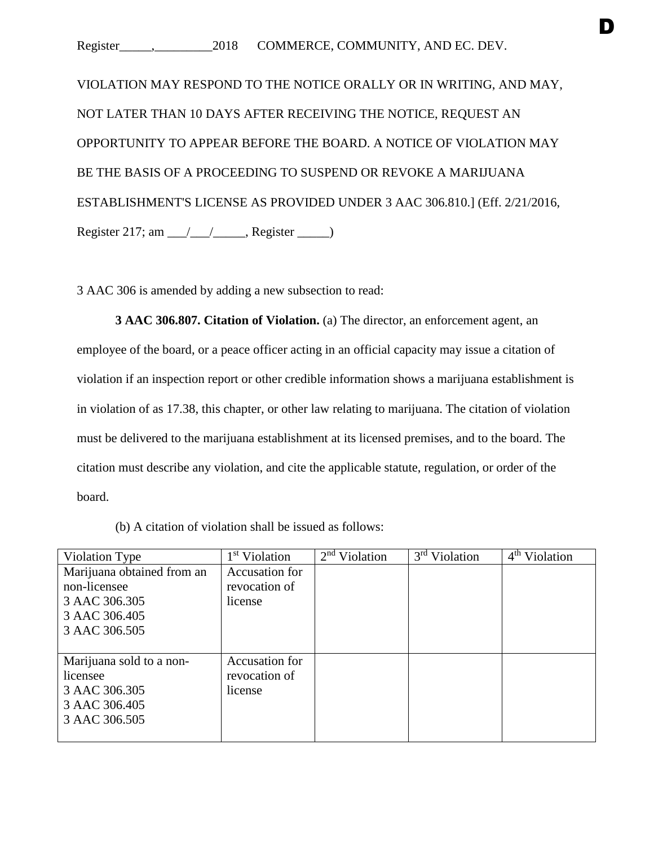VIOLATION MAY RESPOND TO THE NOTICE ORALLY OR IN WRITING, AND MAY, NOT LATER THAN 10 DAYS AFTER RECEIVING THE NOTICE, REQUEST AN OPPORTUNITY TO APPEAR BEFORE THE BOARD. A NOTICE OF VIOLATION MAY BE THE BASIS OF A PROCEEDING TO SUSPEND OR REVOKE A MARIJUANA ESTABLISHMENT'S LICENSE AS PROVIDED UNDER 3 AAC 306.810.] (Eff. 2/21/2016, Register 217; am  $\frac{1}{2}$  Register  $\frac{1}{2}$ 

3 AAC 306 is amended by adding a new subsection to read:

**3 AAC 306.807. Citation of Violation.** (a) The director, an enforcement agent, an employee of the board, or a peace officer acting in an official capacity may issue a citation of violation if an inspection report or other credible information shows a marijuana establishment is in violation of as 17.38, this chapter, or other law relating to marijuana. The citation of violation must be delivered to the marijuana establishment at its licensed premises, and to the board. The citation must describe any violation, and cite the applicable statute, regulation, or order of the board.

| Violation Type             | 1 <sup>st</sup> Violation | $2nd$ Violation | 3 <sup>rd</sup> Violation | 4 <sup>th</sup> Violation |
|----------------------------|---------------------------|-----------------|---------------------------|---------------------------|
| Marijuana obtained from an | Accusation for            |                 |                           |                           |
| non-licensee               | revocation of             |                 |                           |                           |
| 3 AAC 306.305              | license                   |                 |                           |                           |
| 3 AAC 306.405              |                           |                 |                           |                           |
| 3 AAC 306.505              |                           |                 |                           |                           |
|                            |                           |                 |                           |                           |
| Marijuana sold to a non-   | Accusation for            |                 |                           |                           |
| licensee                   | revocation of             |                 |                           |                           |
| 3 AAC 306.305              | license                   |                 |                           |                           |
| 3 AAC 306.405              |                           |                 |                           |                           |
| 3 AAC 306.505              |                           |                 |                           |                           |
|                            |                           |                 |                           |                           |

(b) A citation of violation shall be issued as follows: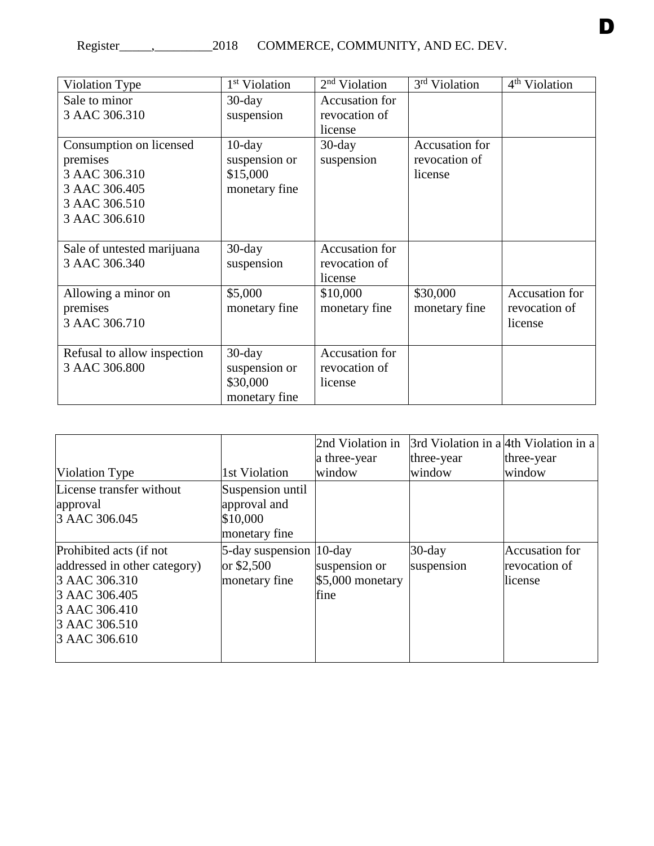| Violation Type              | 1 <sup>st</sup> Violation | $2nd$ Violation | 3 <sup>rd</sup> Violation | 4 <sup>th</sup> Violation |
|-----------------------------|---------------------------|-----------------|---------------------------|---------------------------|
| Sale to minor               | $30$ -day                 | Accusation for  |                           |                           |
| 3 AAC 306.310               | suspension                | revocation of   |                           |                           |
|                             |                           | license         |                           |                           |
| Consumption on licensed     | $10$ -day                 | $30$ -day       | Accusation for            |                           |
| premises                    | suspension or             | suspension      | revocation of             |                           |
| 3 AAC 306.310               | \$15,000                  |                 | license                   |                           |
| 3 AAC 306.405               | monetary fine             |                 |                           |                           |
| 3 AAC 306.510               |                           |                 |                           |                           |
| 3 AAC 306.610               |                           |                 |                           |                           |
|                             |                           |                 |                           |                           |
| Sale of untested marijuana  | $30$ -day                 | Accusation for  |                           |                           |
| 3 AAC 306.340               | suspension                | revocation of   |                           |                           |
|                             |                           | license         |                           |                           |
| Allowing a minor on         | \$5,000                   | \$10,000        | \$30,000                  | Accusation for            |
| premises                    | monetary fine             | monetary fine   | monetary fine             | revocation of             |
| 3 AAC 306.710               |                           |                 |                           | license                   |
|                             |                           |                 |                           |                           |
| Refusal to allow inspection | $30$ -day                 | Accusation for  |                           |                           |
| 3 AAC 306.800               | suspension or             | revocation of   |                           |                           |
|                             | \$30,000                  | license         |                           |                           |
|                             | monetary fine             |                 |                           |                           |

| Violation Type                                                                                                                               | 1st Violation                                                 | 2nd Violation in<br>a three-year<br>window | 3rd Violation in a 4th Violation in a<br>three-year<br>window | three-year<br>window                              |
|----------------------------------------------------------------------------------------------------------------------------------------------|---------------------------------------------------------------|--------------------------------------------|---------------------------------------------------------------|---------------------------------------------------|
| License transfer without<br>approval<br>3 AAC 306.045                                                                                        | Suspension until<br>approval and<br>\$10,000<br>monetary fine |                                            |                                                               |                                                   |
| Prohibited acts (if not<br>addressed in other category)<br>3 AAC 306.310<br>3 AAC 306.405<br>3 AAC 306.410<br>3 AAC 306.510<br>3 AAC 306.610 | 5-day suspension 10-day<br>or \$2,500<br>monetary fine        | suspension or<br>$$5,000$ monetary<br>fine | $30$ -day<br>suspension                                       | <b>Accusation</b> for<br>revocation of<br>license |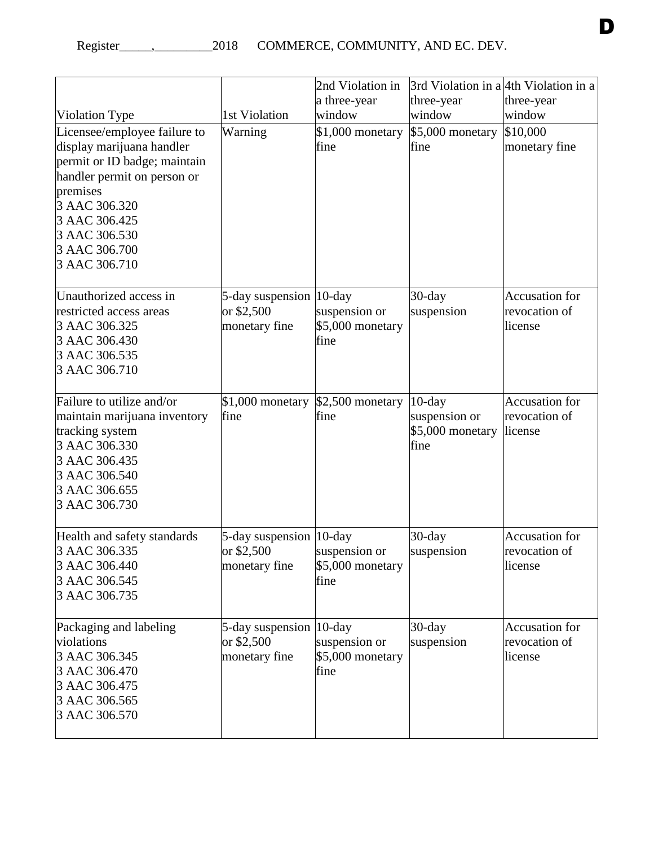|                                                                                                                                                                                                                           |                                                                        | 2nd Violation in                          |                                                        | 3rd Violation in a 4th Violation in a             |
|---------------------------------------------------------------------------------------------------------------------------------------------------------------------------------------------------------------------------|------------------------------------------------------------------------|-------------------------------------------|--------------------------------------------------------|---------------------------------------------------|
|                                                                                                                                                                                                                           |                                                                        | a three-year<br>window                    | three-year                                             | three-year                                        |
| Violation Type                                                                                                                                                                                                            | 1st Violation                                                          |                                           | window                                                 | window                                            |
| Licensee/employee failure to<br>display marijuana handler<br>permit or ID badge; maintain<br>handler permit on person or<br>premises<br>3 AAC 306.320<br>3 AAC 306.425<br>3 AAC 306.530<br>3 AAC 306.700<br>3 AAC 306.710 | Warning                                                                | \$1,000 monetary<br>fine                  | \$5,000 monetary<br>fine                               | \$10,000<br>monetary fine                         |
| Unauthorized access in<br>restricted access areas<br>3 AAC 306.325<br>3 AAC 306.430<br>3 AAC 306.535<br>3 AAC 306.710                                                                                                     | 5-day suspension 10-day<br>or \$2,500<br>monetary fine                 | suspension or<br>\$5,000 monetary<br>fine | $30$ -day<br>suspension                                | <b>Accusation for</b><br>revocation of<br>license |
| Failure to utilize and/or<br>maintain marijuana inventory<br>tracking system<br>3 AAC 306.330<br>3 AAC 306.435<br>3 AAC 306.540<br>3 AAC 306.655<br>3 AAC 306.730                                                         | $$1,000$ monetary<br>fine                                              | \$2,500 monetary<br>fine                  | $10$ -day<br>suspension or<br>\$5,000 monetary<br>fine | Accusation for<br>revocation of<br>license        |
| Health and safety standards<br>3 AAC 306.335<br>3 AAC 306.440<br>3 AAC 306.545<br>3 AAC 306.735                                                                                                                           | 5-day suspension  10-day<br>or $$2,500$ suspension or<br>monetary fine | \$5,000 monetary<br>fine                  | $30$ -day<br>suspension                                | <b>Accusation</b> for<br>revocation of<br>license |
| Packaging and labeling<br>violations<br>3 AAC 306.345<br>3 AAC 306.470<br>3 AAC 306.475<br>3 AAC 306.565<br>3 AAC 306.570                                                                                                 | 5-day suspension 10-day<br>or \$2,500<br>monetary fine                 | suspension or<br>\$5,000 monetary<br>fine | $30$ -day<br>suspension                                | <b>Accusation</b> for<br>revocation of<br>license |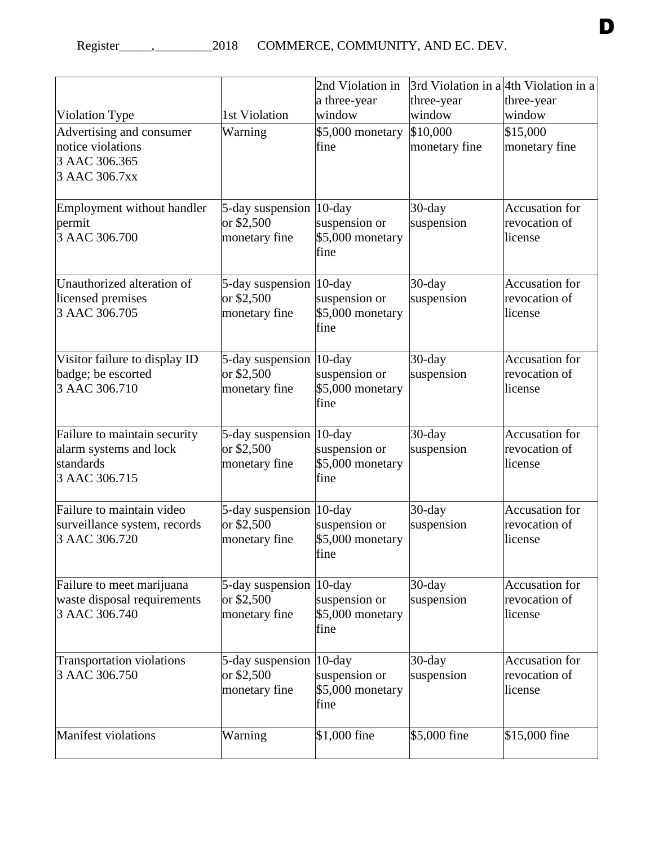|                                               |                          |                          |                      | 3rd Violation in a 4th Violation in a |
|-----------------------------------------------|--------------------------|--------------------------|----------------------|---------------------------------------|
|                                               |                          | 2nd Violation in         |                      |                                       |
|                                               | 1st Violation            | a three-year<br>window   | three-year<br>window | three-year<br>window                  |
| Violation Type                                | Warning                  |                          | \$10,000             | \$15,000                              |
| Advertising and consumer<br>notice violations |                          | \$5,000 monetary<br>fine | monetary fine        | monetary fine                         |
| 3 AAC 306.365                                 |                          |                          |                      |                                       |
| 3 AAC 306.7xx                                 |                          |                          |                      |                                       |
|                                               |                          |                          |                      |                                       |
| Employment without handler                    | 5-day suspension 10-day  |                          | $30$ -day            | <b>Accusation</b> for                 |
| permit                                        | or \$2,500               | suspension or            | suspension           | revocation of                         |
| 3 AAC 306.700                                 | monetary fine            | \$5,000 monetary         |                      | license                               |
|                                               |                          | fine                     |                      |                                       |
| Unauthorized alteration of                    | 5-day suspension  10-day |                          | $30$ -day            | <b>Accusation</b> for                 |
| licensed premises                             | or \$2,500               | suspension or            | suspension           | revocation of                         |
| 3 AAC 306.705                                 | monetary fine            | \$5,000 monetary         |                      | license                               |
|                                               |                          | fine                     |                      |                                       |
| Visitor failure to display ID                 | 5-day suspension  10-day |                          | $30$ -day            | <b>Accusation</b> for                 |
| badge; be escorted                            | or \$2,500               | suspension or            | suspension           | revocation of                         |
| 3 AAC 306.710                                 | monetary fine            | \$5,000 monetary         |                      | license                               |
|                                               |                          | fine                     |                      |                                       |
| Failure to maintain security                  | 5-day suspension 10-day  |                          | $30$ -day            | <b>Accusation</b> for                 |
| alarm systems and lock                        | or \$2,500               | suspension or            | suspension           | revocation of                         |
| standards                                     | monetary fine            | \$5,000 monetary         |                      | license                               |
| 3 AAC 306.715                                 |                          | fine                     |                      |                                       |
| Failure to maintain video                     | 5-day suspension  10-day |                          | $30$ -day            | <b>Accusation</b> for                 |
| surveillance system, records                  | or \$2,500               | suspension or            | suspension           | revocation of                         |
| 3 AAC 306.720                                 | monetary fine            | \$5,000 monetary         |                      | license                               |
|                                               |                          | tine                     |                      |                                       |
| Failure to meet marijuana                     | 5-day suspension 10-day  |                          | $30$ -day            | <b>Accusation</b> for                 |
| waste disposal requirements                   | or \$2,500               | suspension or            | suspension           | revocation of                         |
| 3 AAC 306.740                                 | monetary fine            | \$5,000 monetary         |                      | license                               |
|                                               |                          | fine                     |                      |                                       |
| <b>Transportation violations</b>              | 5-day suspension 10-day  |                          | $30$ -day            | <b>Accusation</b> for                 |
| 3 AAC 306.750                                 | or \$2,500               | suspension or            | suspension           | revocation of                         |
|                                               | monetary fine            | \$5,000 monetary<br>fine |                      | license                               |
|                                               |                          |                          |                      |                                       |
| <b>Manifest violations</b>                    | Warning                  | $$1,000$ fine            | \$5,000 fine         | \$15,000 fine                         |
|                                               |                          |                          |                      |                                       |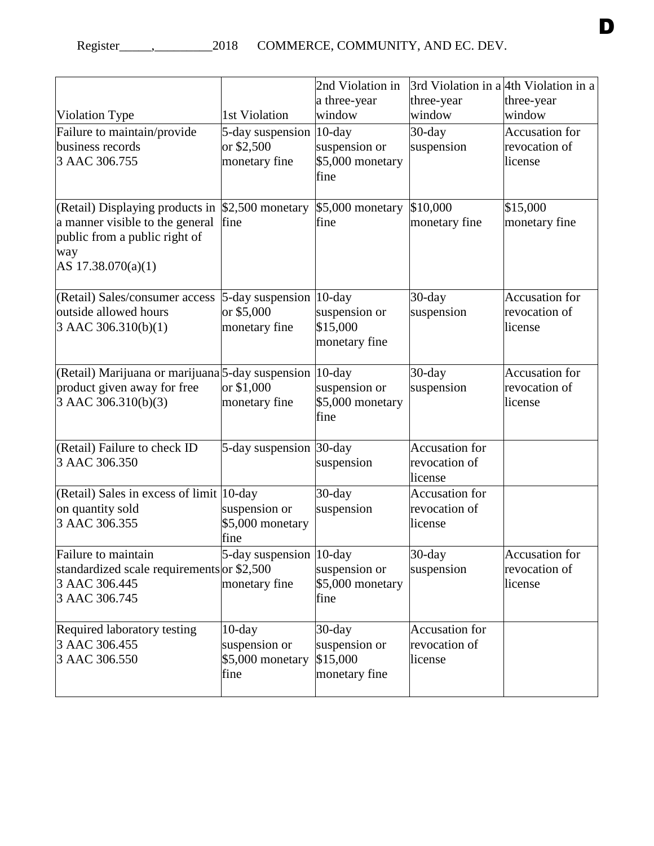| a three-year<br>three-year<br>three-year<br>window<br>window<br>window<br>1st Violation<br><b>Accusation</b> for<br>5-day suspension 10-day<br>$30$ -day<br>or \$2,500<br>suspension or<br>suspension<br>revocation of<br>3 AAC 306.755<br>\$5,000 monetary<br>monetary fine<br>license<br>fine<br>\$2,500 monetary<br>\$5,000 monetary<br>\$10,000<br>\$15,000<br>a manner visible to the general<br>fine<br>fine<br>monetary fine<br>monetary fine<br>public from a public right of<br>way<br>AS $17.38.070(a)(1)$<br><b>Accusation</b> for<br>$30$ -day<br>$5$ -day suspension  10-day<br>outside allowed hours<br>or \$5,000<br>suspension or<br>revocation of<br>suspension<br>\$15,000<br>3 AAC 306.310(b)(1)<br>monetary fine<br>license<br>monetary fine<br>(Retail) Marijuana or marijuana 5-day suspension 10-day<br><b>Accusation</b> for<br>$30$ -day<br>or \$1,000<br>suspension or<br>suspension<br>revocation of<br>3 AAC 306.310(b)(3)<br>\$5,000 monetary<br>monetary fine<br>license |                                 | 2nd Violation in | 3rd Violation in a 4th Violation in a |  |
|--------------------------------------------------------------------------------------------------------------------------------------------------------------------------------------------------------------------------------------------------------------------------------------------------------------------------------------------------------------------------------------------------------------------------------------------------------------------------------------------------------------------------------------------------------------------------------------------------------------------------------------------------------------------------------------------------------------------------------------------------------------------------------------------------------------------------------------------------------------------------------------------------------------------------------------------------------------------------------------------------------|---------------------------------|------------------|---------------------------------------|--|
|                                                                                                                                                                                                                                                                                                                                                                                                                                                                                                                                                                                                                                                                                                                                                                                                                                                                                                                                                                                                        |                                 |                  |                                       |  |
|                                                                                                                                                                                                                                                                                                                                                                                                                                                                                                                                                                                                                                                                                                                                                                                                                                                                                                                                                                                                        | Violation Type                  |                  |                                       |  |
|                                                                                                                                                                                                                                                                                                                                                                                                                                                                                                                                                                                                                                                                                                                                                                                                                                                                                                                                                                                                        | Failure to maintain/provide     |                  |                                       |  |
|                                                                                                                                                                                                                                                                                                                                                                                                                                                                                                                                                                                                                                                                                                                                                                                                                                                                                                                                                                                                        | business records                |                  |                                       |  |
|                                                                                                                                                                                                                                                                                                                                                                                                                                                                                                                                                                                                                                                                                                                                                                                                                                                                                                                                                                                                        |                                 |                  |                                       |  |
|                                                                                                                                                                                                                                                                                                                                                                                                                                                                                                                                                                                                                                                                                                                                                                                                                                                                                                                                                                                                        |                                 |                  |                                       |  |
|                                                                                                                                                                                                                                                                                                                                                                                                                                                                                                                                                                                                                                                                                                                                                                                                                                                                                                                                                                                                        | (Retail) Displaying products in |                  |                                       |  |
|                                                                                                                                                                                                                                                                                                                                                                                                                                                                                                                                                                                                                                                                                                                                                                                                                                                                                                                                                                                                        |                                 |                  |                                       |  |
|                                                                                                                                                                                                                                                                                                                                                                                                                                                                                                                                                                                                                                                                                                                                                                                                                                                                                                                                                                                                        |                                 |                  |                                       |  |
|                                                                                                                                                                                                                                                                                                                                                                                                                                                                                                                                                                                                                                                                                                                                                                                                                                                                                                                                                                                                        |                                 |                  |                                       |  |
|                                                                                                                                                                                                                                                                                                                                                                                                                                                                                                                                                                                                                                                                                                                                                                                                                                                                                                                                                                                                        |                                 |                  |                                       |  |
|                                                                                                                                                                                                                                                                                                                                                                                                                                                                                                                                                                                                                                                                                                                                                                                                                                                                                                                                                                                                        | (Retail) Sales/consumer access  |                  |                                       |  |
|                                                                                                                                                                                                                                                                                                                                                                                                                                                                                                                                                                                                                                                                                                                                                                                                                                                                                                                                                                                                        |                                 |                  |                                       |  |
|                                                                                                                                                                                                                                                                                                                                                                                                                                                                                                                                                                                                                                                                                                                                                                                                                                                                                                                                                                                                        |                                 |                  |                                       |  |
|                                                                                                                                                                                                                                                                                                                                                                                                                                                                                                                                                                                                                                                                                                                                                                                                                                                                                                                                                                                                        |                                 |                  |                                       |  |
|                                                                                                                                                                                                                                                                                                                                                                                                                                                                                                                                                                                                                                                                                                                                                                                                                                                                                                                                                                                                        |                                 |                  |                                       |  |
|                                                                                                                                                                                                                                                                                                                                                                                                                                                                                                                                                                                                                                                                                                                                                                                                                                                                                                                                                                                                        | product given away for free     |                  |                                       |  |
|                                                                                                                                                                                                                                                                                                                                                                                                                                                                                                                                                                                                                                                                                                                                                                                                                                                                                                                                                                                                        |                                 |                  |                                       |  |
| fine                                                                                                                                                                                                                                                                                                                                                                                                                                                                                                                                                                                                                                                                                                                                                                                                                                                                                                                                                                                                   |                                 |                  |                                       |  |
| <b>Accusation</b> for<br>5-day suspension 30-day                                                                                                                                                                                                                                                                                                                                                                                                                                                                                                                                                                                                                                                                                                                                                                                                                                                                                                                                                       | (Retail) Failure to check ID    |                  |                                       |  |
| revocation of<br>suspension                                                                                                                                                                                                                                                                                                                                                                                                                                                                                                                                                                                                                                                                                                                                                                                                                                                                                                                                                                            | 3 AAC 306.350                   |                  |                                       |  |
| license                                                                                                                                                                                                                                                                                                                                                                                                                                                                                                                                                                                                                                                                                                                                                                                                                                                                                                                                                                                                |                                 |                  |                                       |  |
| <b>Accusation</b> for<br>(Retail) Sales in excess of limit 10-day<br>$30$ -day<br>suspension or<br>suspension<br>revocation of                                                                                                                                                                                                                                                                                                                                                                                                                                                                                                                                                                                                                                                                                                                                                                                                                                                                         | on quantity sold                |                  |                                       |  |
| \$5,000 monetary<br>license                                                                                                                                                                                                                                                                                                                                                                                                                                                                                                                                                                                                                                                                                                                                                                                                                                                                                                                                                                            | 3 AAC 306.355                   |                  |                                       |  |
| fine                                                                                                                                                                                                                                                                                                                                                                                                                                                                                                                                                                                                                                                                                                                                                                                                                                                                                                                                                                                                   |                                 |                  |                                       |  |
| 5-day suspension $ 10$ -day<br>Accusation for<br>$30$ -day                                                                                                                                                                                                                                                                                                                                                                                                                                                                                                                                                                                                                                                                                                                                                                                                                                                                                                                                             | Failure to maintain             |                  |                                       |  |
| standardized scale requirements or \$2,500<br>revocation of<br>suspension or<br>suspension                                                                                                                                                                                                                                                                                                                                                                                                                                                                                                                                                                                                                                                                                                                                                                                                                                                                                                             |                                 |                  |                                       |  |
| \$5,000 monetary<br>monetary fine<br>license                                                                                                                                                                                                                                                                                                                                                                                                                                                                                                                                                                                                                                                                                                                                                                                                                                                                                                                                                           | 3 AAC 306.445                   |                  |                                       |  |
| fine                                                                                                                                                                                                                                                                                                                                                                                                                                                                                                                                                                                                                                                                                                                                                                                                                                                                                                                                                                                                   | 3 AAC 306.745                   |                  |                                       |  |
| <b>Accusation</b> for<br>$10$ -day<br>$30$ -day                                                                                                                                                                                                                                                                                                                                                                                                                                                                                                                                                                                                                                                                                                                                                                                                                                                                                                                                                        | Required laboratory testing     |                  |                                       |  |
| suspension or<br>suspension or<br>revocation of                                                                                                                                                                                                                                                                                                                                                                                                                                                                                                                                                                                                                                                                                                                                                                                                                                                                                                                                                        | 3 AAC 306.455                   |                  |                                       |  |
| \$15,000<br>\$5,000 monetary<br>license                                                                                                                                                                                                                                                                                                                                                                                                                                                                                                                                                                                                                                                                                                                                                                                                                                                                                                                                                                | 3 AAC 306.550                   |                  |                                       |  |
| monetary fine<br>fine                                                                                                                                                                                                                                                                                                                                                                                                                                                                                                                                                                                                                                                                                                                                                                                                                                                                                                                                                                                  |                                 |                  |                                       |  |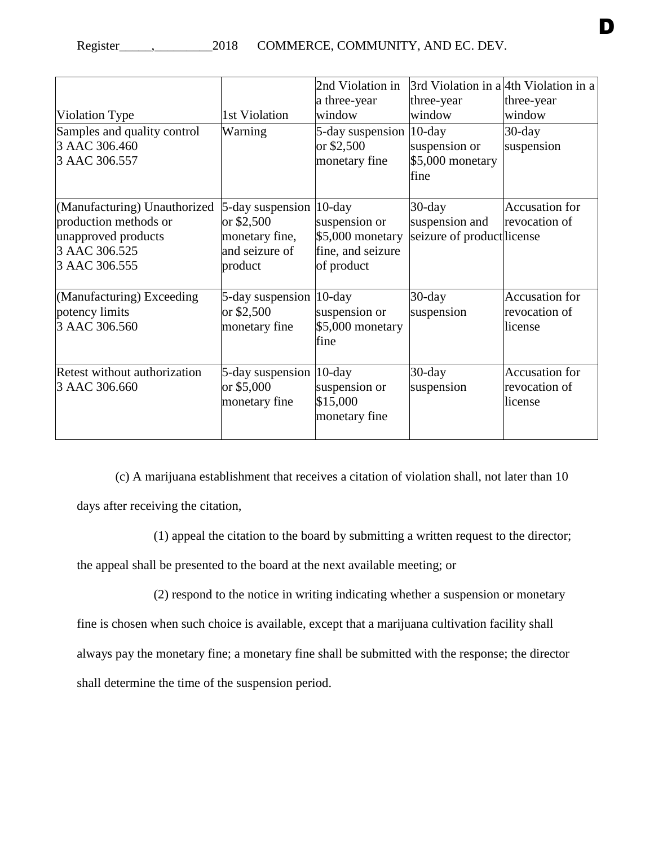|                                                                                                                |                                                                                          | 2nd Violation in<br>a three-year                                      | 3rd Violation in a 4th Violation in a<br>three-year      | three-year                                        |
|----------------------------------------------------------------------------------------------------------------|------------------------------------------------------------------------------------------|-----------------------------------------------------------------------|----------------------------------------------------------|---------------------------------------------------|
| Violation Type                                                                                                 | 1st Violation                                                                            | window                                                                | window                                                   | window                                            |
| Samples and quality control<br>3 AAC 306.460<br>3 AAC 306.557                                                  | Warning                                                                                  | 5-day suspension  10-day<br>or \$2,500<br>monetary fine               | suspension or<br>\$5,000 monetary<br>fine                | $30$ -day<br>suspension                           |
| (Manufacturing) Unauthorized<br>production methods or<br>unapproved products<br>3 AAC 306.525<br>3 AAC 306.555 | $5$ -day suspension  10-day<br>or \$2,500<br>monetary fine,<br>and seizure of<br>product | suspension or<br>$$5,000$ monetary<br>fine, and seizure<br>of product | $30$ -day<br>suspension and<br>seizure of productlicense | <b>Accusation</b> for<br>revocation of            |
| (Manufacturing) Exceeding<br>potency limits<br>3 AAC 306.560                                                   | 5-day suspension 10-day<br>or \$2,500<br>monetary fine                                   | suspension or<br>\$5,000 monetary<br>fine                             | $30$ -day<br>suspension                                  | <b>Accusation</b> for<br>revocation of<br>license |
| Retest without authorization<br>3 AAC 306.660                                                                  | 5-day suspension 10-day<br>or \$5,000<br>monetary fine                                   | suspension or<br>\$15,000<br>monetary fine                            | $30$ -day<br>suspension                                  | <b>Accusation</b> for<br>revocation of<br>license |

(c) A marijuana establishment that receives a citation of violation shall, not later than 10 days after receiving the citation,

(1) appeal the citation to the board by submitting a written request to the director;

the appeal shall be presented to the board at the next available meeting; or

(2) respond to the notice in writing indicating whether a suspension or monetary

fine is chosen when such choice is available, except that a marijuana cultivation facility shall always pay the monetary fine; a monetary fine shall be submitted with the response; the director shall determine the time of the suspension period.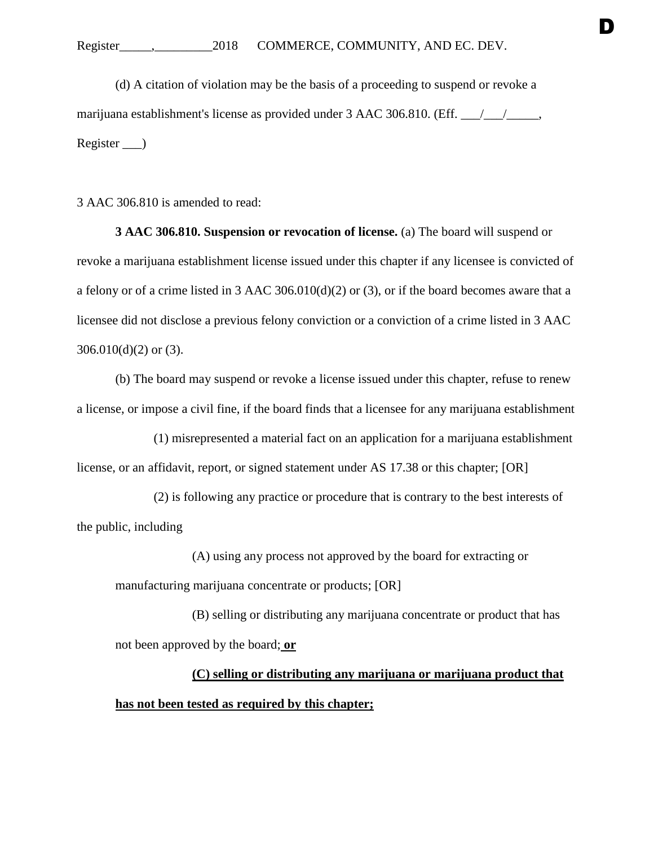(d) A citation of violation may be the basis of a proceeding to suspend or revoke a marijuana establishment's license as provided under 3 AAC 306.810. (Eff.  $\frac{1}{\sqrt{2}}$ , Register )

D

3 AAC 306.810 is amended to read:

**3 AAC 306.810. Suspension or revocation of license.** (a) The board will suspend or revoke a marijuana establishment license issued under this chapter if any licensee is convicted of a felony or of a crime listed in 3 AAC 306.010(d)(2) or (3), or if the board becomes aware that a licensee did not disclose a previous felony conviction or a conviction of a crime listed in 3 AAC  $306.010(d)(2)$  or  $(3)$ .

(b) The board may suspend or revoke a license issued under this chapter, refuse to renew a license, or impose a civil fine, if the board finds that a licensee for any marijuana establishment

(1) misrepresented a material fact on an application for a marijuana establishment license, or an affidavit, report, or signed statement under AS 17.38 or this chapter; [OR]

(2) is following any practice or procedure that is contrary to the best interests of the public, including

(A) using any process not approved by the board for extracting or manufacturing marijuana concentrate or products; [OR]

(B) selling or distributing any marijuana concentrate or product that has not been approved by the board; **or**

## **(C) selling or distributing any marijuana or marijuana product that has not been tested as required by this chapter;**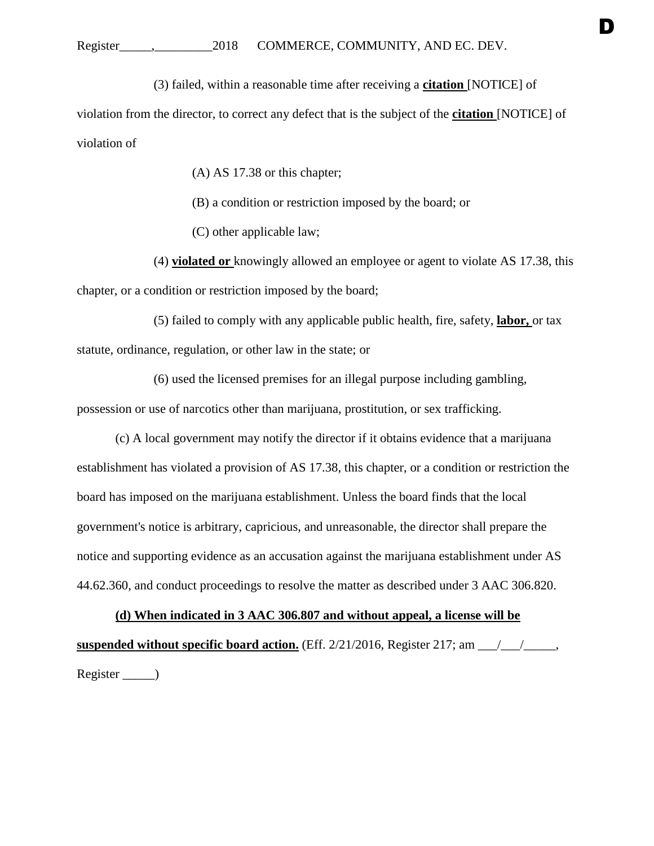(3) failed, within a reasonable time after receiving a **citation** [NOTICE] of

violation from the director, to correct any defect that is the subject of the **citation** [NOTICE] of violation of

(A) AS 17.38 or this chapter;

- (B) a condition or restriction imposed by the board; or
- (C) other applicable law;

(4) **violated or** knowingly allowed an employee or agent to violate AS 17.38, this chapter, or a condition or restriction imposed by the board;

(5) failed to comply with any applicable public health, fire, safety, **labor,** or tax statute, ordinance, regulation, or other law in the state; or

(6) used the licensed premises for an illegal purpose including gambling, possession or use of narcotics other than marijuana, prostitution, or sex trafficking.

(c) A local government may notify the director if it obtains evidence that a marijuana establishment has violated a provision of AS 17.38, this chapter, or a condition or restriction the board has imposed on the marijuana establishment. Unless the board finds that the local government's notice is arbitrary, capricious, and unreasonable, the director shall prepare the notice and supporting evidence as an accusation against the marijuana establishment under AS 44.62.360, and conduct proceedings to resolve the matter as described under 3 AAC 306.820.

**(d) When indicated in 3 AAC 306.807 and without appeal, a license will be suspended without specific board action.** (Eff. 2/21/2016, Register 217; am \_\_\_/\_\_\_/\_\_\_\_\_, Register \_\_\_\_\_)

D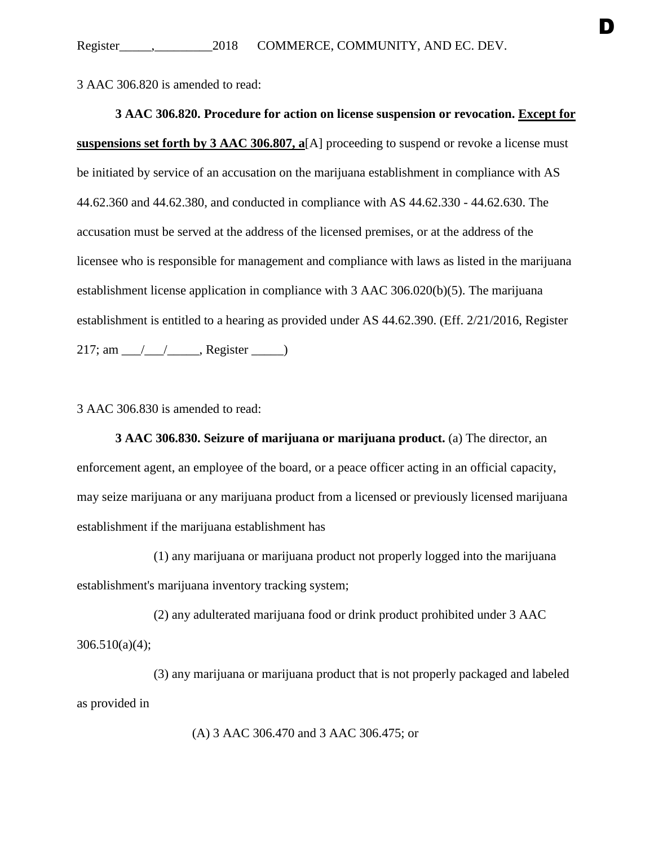3 AAC 306.820 is amended to read:

**3 AAC 306.820. Procedure for action on license suspension or revocation. Except for suspensions set forth by 3 AAC 306.807, a**[A] proceeding to suspend or revoke a license must be initiated by service of an accusation on the marijuana establishment in compliance with AS 44.62.360 and 44.62.380, and conducted in compliance with AS 44.62.330 - 44.62.630. The accusation must be served at the address of the licensed premises, or at the address of the licensee who is responsible for management and compliance with laws as listed in the marijuana establishment license application in compliance with 3 AAC 306.020(b)(5). The marijuana establishment is entitled to a hearing as provided under AS 44.62.390. (Eff. 2/21/2016, Register  $217; am$  \_\_\_/\_\_\_\_\_\_\_\_\_, Register \_\_\_\_\_\_\_)

3 AAC 306.830 is amended to read:

**3 AAC 306.830. Seizure of marijuana or marijuana product.** (a) The director, an enforcement agent, an employee of the board, or a peace officer acting in an official capacity, may seize marijuana or any marijuana product from a licensed or previously licensed marijuana establishment if the marijuana establishment has

(1) any marijuana or marijuana product not properly logged into the marijuana establishment's marijuana inventory tracking system;

(2) any adulterated marijuana food or drink product prohibited under 3 AAC 306.510(a)(4);

(3) any marijuana or marijuana product that is not properly packaged and labeled as provided in

(A) 3 AAC 306.470 and 3 AAC 306.475; or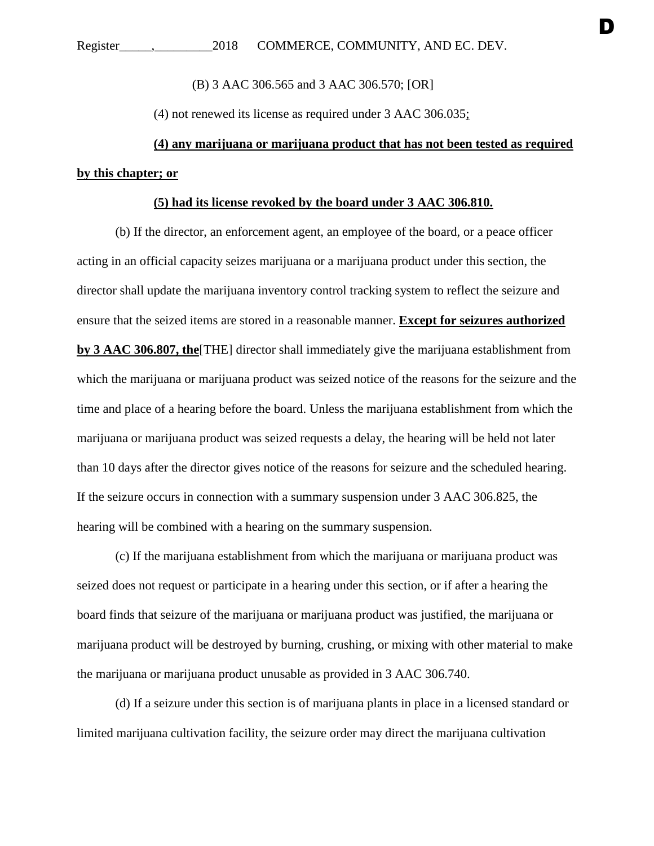(B) 3 AAC 306.565 and 3 AAC 306.570; [OR]

(4) not renewed its license as required under 3 AAC 306.035;

## **(4) any marijuana or marijuana product that has not been tested as required by this chapter; or**

### **(5) had its license revoked by the board under 3 AAC 306.810.**

(b) If the director, an enforcement agent, an employee of the board, or a peace officer acting in an official capacity seizes marijuana or a marijuana product under this section, the director shall update the marijuana inventory control tracking system to reflect the seizure and ensure that the seized items are stored in a reasonable manner. **Except for seizures authorized by 3 AAC 306.807, the**[THE] director shall immediately give the marijuana establishment from which the marijuana or marijuana product was seized notice of the reasons for the seizure and the time and place of a hearing before the board. Unless the marijuana establishment from which the marijuana or marijuana product was seized requests a delay, the hearing will be held not later than 10 days after the director gives notice of the reasons for seizure and the scheduled hearing. If the seizure occurs in connection with a summary suspension under 3 AAC 306.825, the hearing will be combined with a hearing on the summary suspension.

(c) If the marijuana establishment from which the marijuana or marijuana product was seized does not request or participate in a hearing under this section, or if after a hearing the board finds that seizure of the marijuana or marijuana product was justified, the marijuana or marijuana product will be destroyed by burning, crushing, or mixing with other material to make the marijuana or marijuana product unusable as provided in 3 AAC 306.740.

(d) If a seizure under this section is of marijuana plants in place in a licensed standard or limited marijuana cultivation facility, the seizure order may direct the marijuana cultivation

D